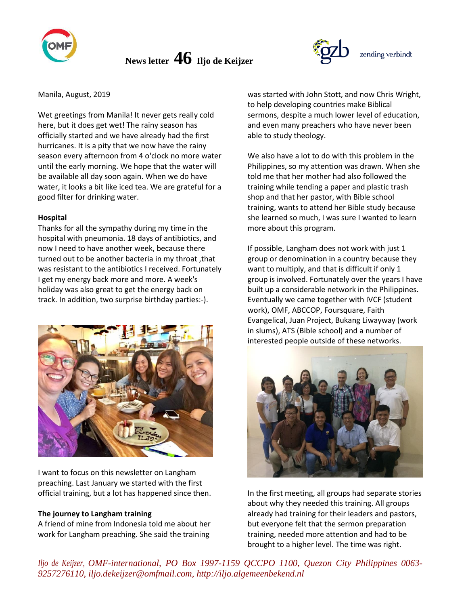



Manila, August, 2019

Wet greetings from Manila! It never gets really cold here, but it does get wet! The rainy season has officially started and we have already had the first hurricanes. It is a pity that we now have the rainy season every afternoon from 4 o'clock no more water until the early morning. We hope that the water will be available all day soon again. When we do have water, it looks a bit like iced tea. We are grateful for a good filter for drinking water.

#### **Hospital**

Thanks for all the sympathy during my time in the hospital with pneumonia. 18 days of antibiotics, and now I need to have another week, because there turned out to be another bacteria in my throat ,that was resistant to the antibiotics I received. Fortunately I get my energy back more and more. A week's holiday was also great to get the energy back on track. In addition, two surprise birthday parties:-).



I want to focus on this newsletter on Langham preaching. Last January we started with the first official training, but a lot has happened since then.

### **The journey to Langham training**

A friend of mine from Indonesia told me about her work for Langham preaching. She said the training

was started with John Stott, and now Chris Wright, to help developing countries make Biblical sermons, despite a much lower level of education, and even many preachers who have never been able to study theology.

We also have a lot to do with this problem in the Philippines, so my attention was drawn. When she told me that her mother had also followed the training while tending a paper and plastic trash shop and that her pastor, with Bible school training, wants to attend her Bible study because she learned so much, I was sure I wanted to learn more about this program.

If possible, Langham does not work with just 1 group or denomination in a country because they want to multiply, and that is difficult if only 1 group is involved. Fortunately over the years I have built up a considerable network in the Philippines. Eventually we came together with IVCF (student work), OMF, ABCCOP, Foursquare, Faith Evangelical, Juan Project, Bukang Liwayway (work in slums), ATS (Bible school) and a number of interested people outside of these networks.



In the first meeting, all groups had separate stories about why they needed this training. All groups already had training for their leaders and pastors, but everyone felt that the sermon preparation training, needed more attention and had to be brought to a higher level. The time was right.

*Iljo de Keijzer, OMF-international, PO Box 1997-1159 QCCPO 1100, Quezon City Philippines 0063- 9257276110, iljo.dekeijzer@omfmail.com, http://iljo.algemeenbekend.nl*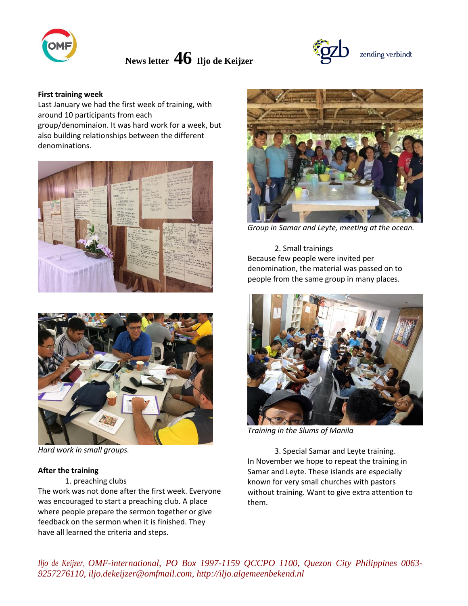



#### **First training week**

Last January we had the first week of training, with around 10 participants from each group/denominaion. It was hard work for a week, but also building relationships between the different denominations.





*Hard work in small groups.*

#### **After the training**

1. preaching clubs

The work was not done after the first week. Everyone was encouraged to start a preaching club. A place where people prepare the sermon together or give feedback on the sermon when it is finished. They have all learned the criteria and steps.



*Group in Samar and Leyte, meeting at the ocean.*

## 2. Small trainings

Because few people were invited per denomination, the material was passed on to people from the same group in many places.



*Training in the Slums of Manila*

3. Special Samar and Leyte training. In November we hope to repeat the training in Samar and Leyte. These islands are especially known for very small churches with pastors without training. Want to give extra attention to them.

*Iljo de Keijzer, OMF-international, PO Box 1997-1159 QCCPO 1100, Quezon City Philippines 0063- 9257276110, iljo.dekeijzer@omfmail.com, http://iljo.algemeenbekend.nl*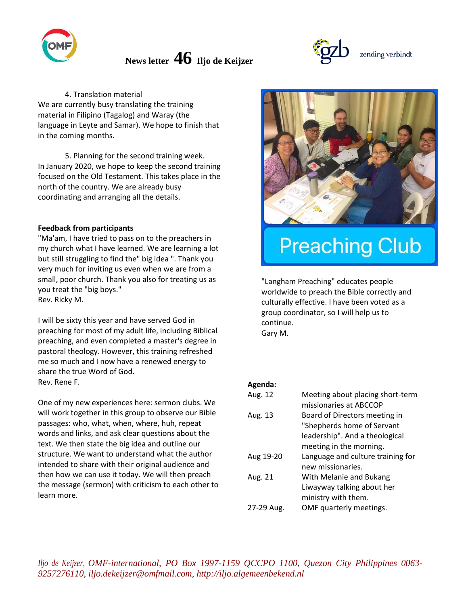

4. Translation material

We are currently busy translating the training material in Filipino (Tagalog) and Waray (the language in Leyte and Samar). We hope to finish that in the coming months.

5. Planning for the second training week. In January 2020, we hope to keep the second training focused on the Old Testament. This takes place in the north of the country. We are already busy coordinating and arranging all the details.

### **Feedback from participants**

"Ma'am, I have tried to pass on to the preachers in my church what I have learned. We are learning a lot but still struggling to find the" big idea ". Thank you very much for inviting us even when we are from a small, poor church. Thank you also for treating us as you treat the "big boys." Rev. Ricky M.

I will be sixty this year and have served God in preaching for most of my adult life, including Biblical preaching, and even completed a master's degree in pastoral theology. However, this training refreshed me so much and I now have a renewed energy to share the true Word of God. Rev. Rene F.

One of my new experiences here: sermon clubs. We will work together in this group to observe our Bible passages: who, what, when, where, huh, repeat words and links, and ask clear questions about the text. We then state the big idea and outline our structure. We want to understand what the author intended to share with their original audience and then how we can use it today. We will then preach the message (sermon) with criticism to each other to learn more.





# **Preaching Club**

"Langham Preaching" educates people worldwide to preach the Bible correctly and culturally effective. I have been voted as a group coordinator, so I will help us to continue.

Gary M.

#### **Agenda:**

| Aug. 12    | Meeting about placing short-term  |
|------------|-----------------------------------|
|            | missionaries at ABCCOP            |
| Aug. 13    | Board of Directors meeting in     |
|            | "Shepherds home of Servant        |
|            | leadership". And a theological    |
|            | meeting in the morning.           |
| Aug 19-20  | Language and culture training for |
|            | new missionaries.                 |
| Aug. 21    | With Melanie and Bukang           |
|            | Liwayway talking about her        |
|            | ministry with them.               |
| 27-29 Aug. | OMF quarterly meetings.           |

*Iljo de Keijzer, OMF-international, PO Box 1997-1159 QCCPO 1100, Quezon City Philippines 0063- 9257276110, iljo.dekeijzer@omfmail.com, http://iljo.algemeenbekend.nl*